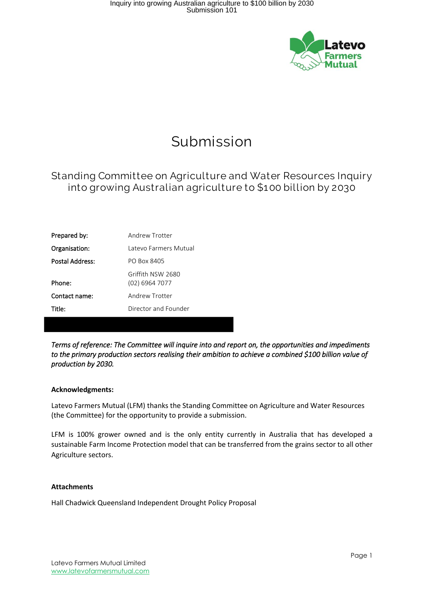

# Submission

### Standing Committee on Agriculture and Water Resources Inquiry into growing Australian agriculture to \$100 billion by 2030

| Prepared by:    | Andrew Trotter                      |
|-----------------|-------------------------------------|
| Organisation:   | Latevo Farmers Mutual               |
| Postal Address: | <b>PO Box 8405</b>                  |
| Phone:          | Griffith NSW 2680<br>(02) 6964 7077 |
| Contact name:   | Andrew Trotter                      |
| Title:          | Director and Founder                |

*Terms of reference: The Committee will inquire into and report on, the opportunities and impediments to the primary production sectors realising their ambition to achieve a combined \$100 billion value of production by 2030.* 

#### **Acknowledgments:**

Latevo Farmers Mutual (LFM) thanks the Standing Committee on Agriculture and Water Resources (the Committee) for the opportunity to provide a submission.

LFM is 100% grower owned and is the only entity currently in Australia that has developed a sustainable Farm Income Protection model that can be transferred from the grains sector to all other Agriculture sectors.

#### **Attachments**

Hall Chadwick Queensland Independent Drought Policy Proposal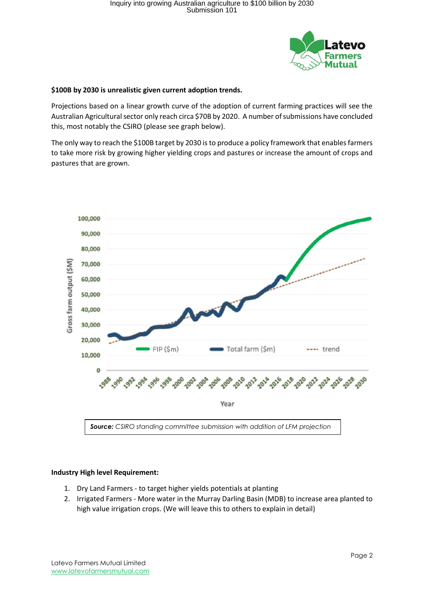

#### **\$100B by 2030 is unrealistic given current adoption trends.**

Projections based on a linear growth curve of the adoption of current farming practices will see the Australian Agricultural sector only reach circa \$70B by 2020. A number of submissions have concluded this, most notably the CSIRO (please see graph below).

The only way to reach the \$100B target by 2030 is to produce a policy framework that enables farmers to take more risk by growing higher yielding crops and pastures or increase the amount of crops and pastures that are grown.



#### **Industry High level Requirement:**

- 1. Dry Land Farmers to target higher yields potentials at planting
- 2. Irrigated Farmers More water in the Murray Darling Basin (MDB) to increase area planted to high value irrigation crops. (We will leave this to others to explain in detail)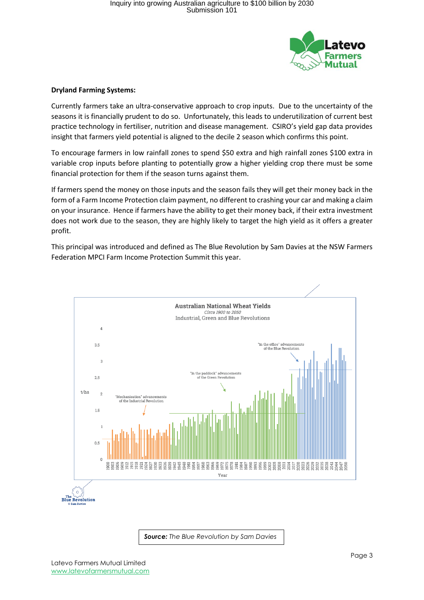

#### **Dryland Farming Systems:**

Currently farmers take an ultra-conservative approach to crop inputs. Due to the uncertainty of the seasons it is financially prudent to do so. Unfortunately, this leads to underutilization of current best practice technology in fertiliser, nutrition and disease management. CSIRO's yield gap data provides insight that farmers yield potential is aligned to the decile 2 season which confirms this point.

To encourage farmers in low rainfall zones to spend \$50 extra and high rainfall zones \$100 extra in variable crop inputs before planting to potentially grow a higher yielding crop there must be some financial protection for them if the season turns against them.

If farmers spend the money on those inputs and the season fails they will get their money back in the form of a Farm Income Protection claim payment, no different to crashing your car and making a claim on your insurance. Hence if farmers have the ability to get their money back, if their extra investment does not work due to the season, they are highly likely to target the high yield as it offers a greater profit.

This principal was introduced and defined as The Blue Revolution by Sam Davies at the NSW Farmers Federation MPCI Farm Income Protection Summit this year.



*Source: The Blue Revolution by Sam Davies*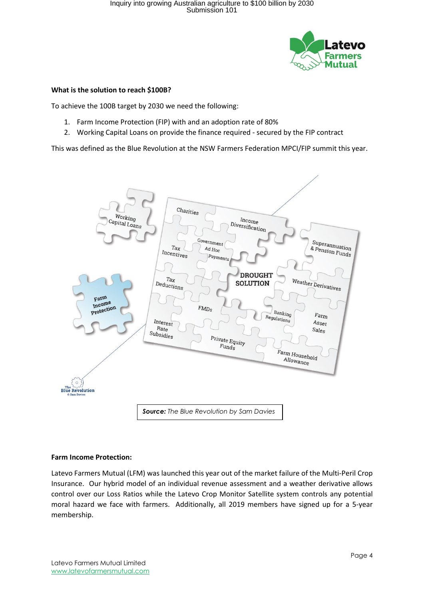

#### **What is the solution to reach \$100B?**

To achieve the 100B target by 2030 we need the following:

- 1. Farm Income Protection (FIP) with and an adoption rate of 80%
- 2. Working Capital Loans on provide the finance required secured by the FIP contract

This was defined as the Blue Revolution at the NSW Farmers Federation MPCI/FIP summit this year.



#### **Farm Income Protection:**

Latevo Farmers Mutual (LFM) was launched this year out of the market failure of the Multi-Peril Crop Insurance. Our hybrid model of an individual revenue assessment and a weather derivative allows control over our Loss Ratios while the Latevo Crop Monitor Satellite system controls any potential moral hazard we face with farmers. Additionally, all 2019 members have signed up for a 5-year membership.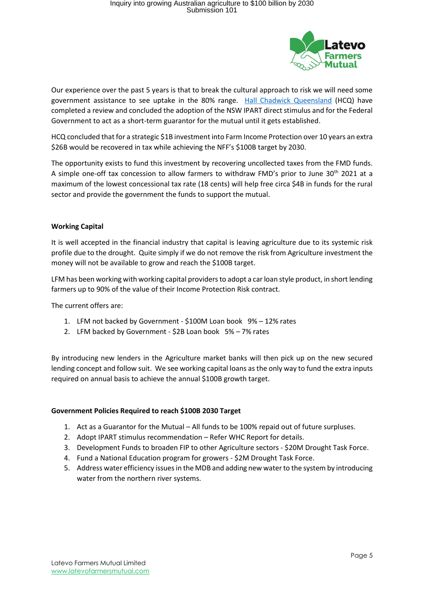

Our experience over the past 5 years is that to break the cultural approach to risk we will need some government assistance to see uptake in the 80% range. [Hall Chadwick Queensland](https://www.hallchadwickqld.com.au/) (HCQ) have completed a review and concluded the adoption of the NSW IPART direct stimulus and for the Federal Government to act as a short-term guarantor for the mutual until it gets established.

HCQ concluded that for a strategic \$1B investment into Farm Income Protection over 10 years an extra \$26B would be recovered in tax while achieving the NFF's \$100B target by 2030.

The opportunity exists to fund this investment by recovering uncollected taxes from the FMD funds. A simple one-off tax concession to allow farmers to withdraw FMD's prior to June 30<sup>th</sup> 2021 at a maximum of the lowest concessional tax rate (18 cents) will help free circa \$4B in funds for the rural sector and provide the government the funds to support the mutual.

#### **Working Capital**

It is well accepted in the financial industry that capital is leaving agriculture due to its systemic risk profile due to the drought. Quite simply if we do not remove the risk from Agriculture investment the money will not be available to grow and reach the \$100B target.

LFM has been working with working capital providers to adopt a car loan style product, in short lending farmers up to 90% of the value of their Income Protection Risk contract.

The current offers are:

- 1. LFM not backed by Government \$100M Loan book 9% 12% rates
- 2. LFM backed by Government \$2B Loan book 5% 7% rates

By introducing new lenders in the Agriculture market banks will then pick up on the new secured lending concept and follow suit. We see working capital loans as the only way to fund the extra inputs required on annual basis to achieve the annual \$100B growth target.

#### **Government Policies Required to reach \$100B 2030 Target**

- 1. Act as a Guarantor for the Mutual All funds to be 100% repaid out of future surpluses.
- 2. Adopt IPART stimulus recommendation Refer WHC Report for details.
- 3. Development Funds to broaden FIP to other Agriculture sectors \$20M Drought Task Force.
- 4. Fund a National Education program for growers \$2M Drought Task Force.
- 5. Address water efficiency issuesin the MDB and adding new water to the system by introducing water from the northern river systems.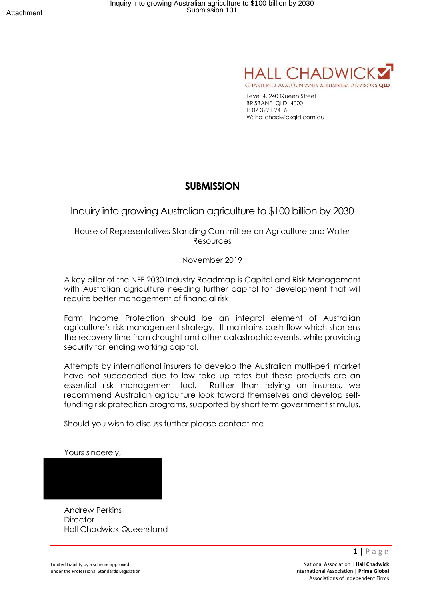

Level 4, 240 Queen Street BRISBANE QLD 4000 T: 07 3221 2416 W: hallchadwickqld.com.au

### **SUBMISSION**

Inquiry into growing Australian agriculture to \$100 billion by 2030

House of Representatives Standing Committee on Agriculture and Water Resources

November 2019

A key pillar of the NFF 2030 Industry Roadmap is Capital and Risk Management with Australian agriculture needing further capital for development that will require better management of financial risk.

Farm Income Protection should be an integral element of Australian agriculture's risk management strategy. It maintains cash flow which shortens the recovery time from drought and other catastrophic events, while providing security for lending working capital.

Attempts by international insurers to develop the Australian multi-peril market have not succeeded due to low take up rates but these products are an essential risk management tool. Rather than relying on insurers, we recommend Australian agriculture look toward themselves and develop selffunding risk protection programs, supported by short term government stimulus.

Should you wish to discuss further please contact me.

Yours sincerely,

Andrew Perkins **Director** Hall Chadwick Queensland

Limited Liability by a scheme approved **National Association | Hall Chadwick National Association | Hall Chadwick** under the Professional Standards Legislation **International Association | Prime Global International Association | Prime Global** Associations of Independent Firms

**1** | P a g e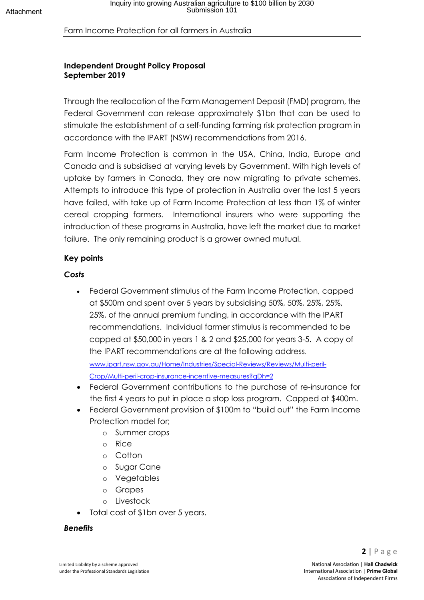### Farm Income Protection for all farmers in Australia

### **Independent Drought Policy Proposal September 2019**

Through the reallocation of the Farm Management Deposit (FMD) program, the Federal Government can release approximately \$1bn that can be used to stimulate the establishment of a self-funding farming risk protection program in accordance with the IPART (NSW) recommendations from 2016.

Farm Income Protection is common in the USA, China, India, Europe and Canada and is subsidised at varying levels by Government. With high levels of uptake by farmers in Canada, they are now migrating to private schemes. Attempts to introduce this type of protection in Australia over the last 5 years have failed, with take up of Farm Income Protection at less than 1% of winter cereal cropping farmers. International insurers who were supporting the introduction of these programs in Australia, have left the market due to market failure. The only remaining product is a grower owned mutual.

### **Key points**

### *Costs*

• Federal Government stimulus of the Farm Income Protection, capped at \$500m and spent over 5 years by subsidising 50%, 50%, 25%, 25%, 25%, of the annual premium funding, in accordance with the IPART recommendations. Individual farmer stimulus is recommended to be capped at \$50,000 in years 1 & 2 and \$25,000 for years 3-5. A copy of the IPART recommendations are at the following address.

www.ipart.nsw.gov.au/Home/Industries/Special-Reviews/Reviews/Multi-peril-Crop/Multi-peril-crop-insurance-incentive-measures?qDh=2

- Federal Government contributions to the purchase of re-insurance for the first 4 years to put in place a stop loss program. Capped at \$400m.
- Federal Government provision of \$100m to "build out" the Farm Income Protection model for;
	- o Summer crops
	- o Rice
	- o Cotton
	- o Sugar Cane
	- o Vegetables
	- o Grapes
	- o Livestock
- Total cost of \$1bn over 5 years.

### *Benefits*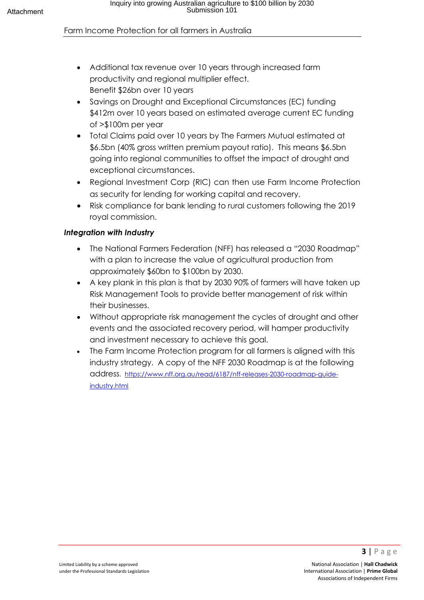### Farm Income Protection for all farmers in Australia

- Additional tax revenue over 10 years through increased farm productivity and regional multiplier effect. Benefit \$26bn over 10 years
- Savings on Drought and Exceptional Circumstances (EC) funding \$412m over 10 years based on estimated average current EC funding of >\$100m per year
- Total Claims paid over 10 years by The Farmers Mutual estimated at \$6.5bn (40% gross written premium payout ratio). This means \$6.5bn going into regional communities to offset the impact of drought and exceptional circumstances.
- Regional Investment Corp (RIC) can then use Farm Income Protection as security for lending for working capital and recovery.
- Risk compliance for bank lending to rural customers following the 2019 royal commission.

### *Integration with Industry*

- The National Farmers Federation (NFF) has released a "2030 Roadmap" with a plan to increase the value of agricultural production from approximately \$60bn to \$100bn by 2030.
- A key plank in this plan is that by 2030 90% of farmers will have taken up Risk Management Tools to provide better management of risk within their businesses.
- Without appropriate risk management the cycles of drought and other events and the associated recovery period, will hamper productivity and investment necessary to achieve this goal.
- The Farm Income Protection program for all farmers is aligned with this industry strategy. A copy of the NFF 2030 Roadmap is at the following address. https://www.nff.org.au/read/6187/nff-releases-2030-roadmap-guideindustry.html

**3** | Page